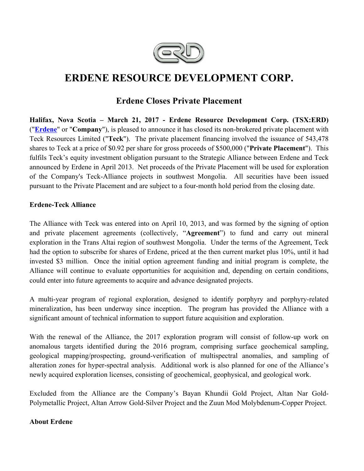

# **ERDENE RESOURCE DEVELOPMENT CORP.**

# **Erdene Closes Private Placement**

**Halifax, Nova Scotia – March 21, 2017 - Erdene Resource Development Corp. (TSX:ERD)**  ("**Erdene**" or "**Company**"), is pleased to announce it has closed its non-brokered private placement with Teck Resources Limited ("**Teck**"). The private placement financing involved the issuance of 543,478 shares to Teck at a price of \$0.92 per share for gross proceeds of \$500,000 ("**Private Placement**"). This fulfils Teck's equity investment obligation pursuant to the Strategic Alliance between Erdene and Teck announced by Erdene in April 2013. Net proceeds of the Private Placement will be used for exploration of the Company's Teck-Alliance projects in southwest Mongolia. All securities have been issued pursuant to the Private Placement and are subject to a four-month hold period from the closing date.

## **Erdene-Teck Alliance**

The Alliance with Teck was entered into on April 10, 2013, and was formed by the signing of option and private placement agreements (collectively, "**Agreement**") to fund and carry out mineral exploration in the Trans Altai region of southwest Mongolia. Under the terms of the Agreement, Teck had the option to subscribe for shares of Erdene, priced at the then current market plus 10%, until it had invested \$3 million. Once the initial option agreement funding and initial program is complete, the Alliance will continue to evaluate opportunities for acquisition and, depending on certain conditions, could enter into future agreements to acquire and advance designated projects.

A multi-year program of regional exploration, designed to identify porphyry and porphyry-related mineralization, has been underway since inception. The program has provided the Alliance with a significant amount of technical information to support future acquisition and exploration.

With the renewal of the Alliance, the 2017 exploration program will consist of follow-up work on anomalous targets identified during the 2016 program, comprising surface geochemical sampling, geological mapping/prospecting, ground-verification of multispectral anomalies, and sampling of alteration zones for hyper-spectral analysis. Additional work is also planned for one of the Alliance's newly acquired exploration licenses, consisting of geochemical, geophysical, and geological work.

Excluded from the Alliance are the Company's Bayan Khundii Gold Project, Altan Nar Gold-Polymetallic Project, Altan Arrow Gold-Silver Project and the Zuun Mod Molybdenum-Copper Project.

### **About Erdene**